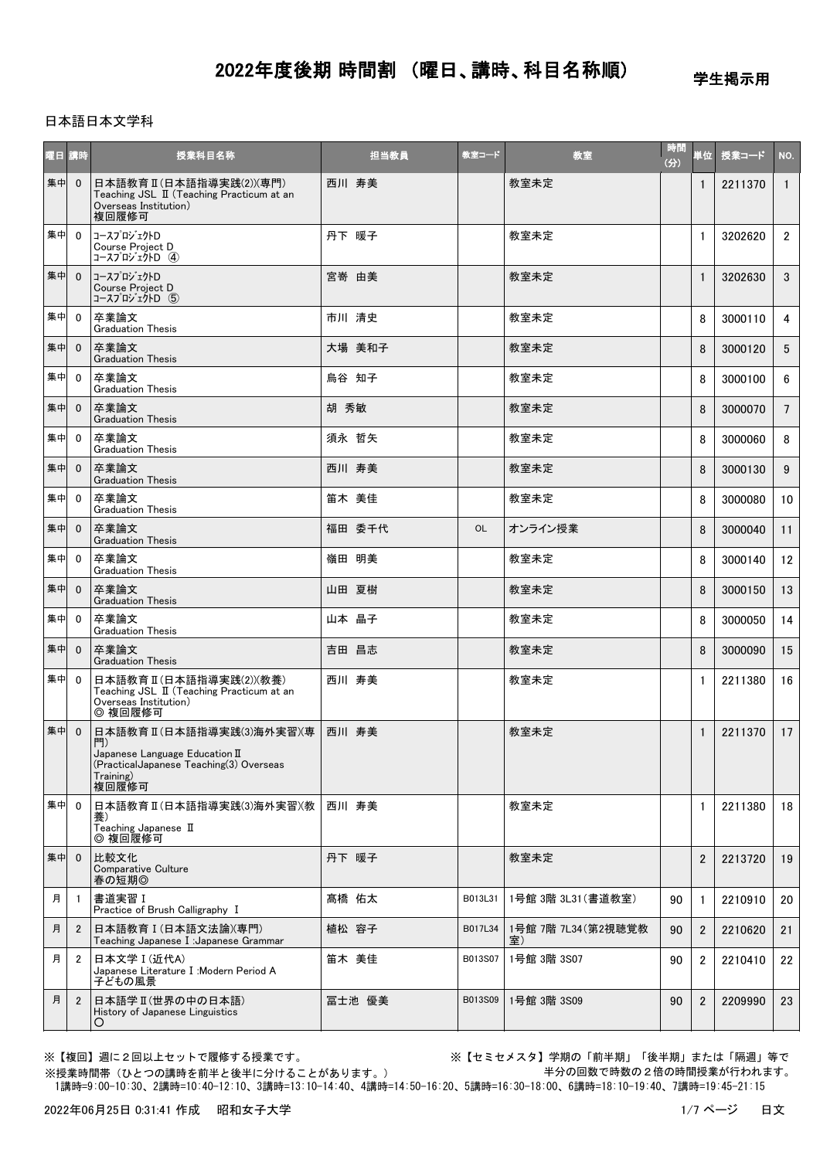学生掲示用

### 日本語日本文学科

| 曜日 講時 |                         | 授業科目名称                                                                                                                                   | 担当教員   | 教室コード   | 教室                        | 時間<br>(3) | 単位∥            | 授業コード   | NO.             |
|-------|-------------------------|------------------------------------------------------------------------------------------------------------------------------------------|--------|---------|---------------------------|-----------|----------------|---------|-----------------|
| 集中    | $\overline{0}$          | 日本語教育 II (日本語指導実践(2))(専門)<br>Teaching JSL II (Teaching Practicum at an<br>Overseas Institution)<br>複回履修可                                 | 西川 寿美  |         | 教室未定                      |           | $\mathbf{1}$   | 2211370 | $\mathbf{1}$    |
| 集中 0  |                         | コースプロジェクトD<br>Course Project D<br>コースプロジェクトD (4)                                                                                         | 丹下 暖子  |         | 教室未定                      |           | $\mathbf{1}$   | 3202620 | $\overline{2}$  |
| 集中    | $\overline{0}$          | │コースプロジェクトD<br>Course Project D<br>コースプロジェクトD (5)                                                                                        | 宮嵜 由美  |         | 教室未定                      |           | $\mathbf{1}$   | 3202630 | 3               |
| 集中    | $\Omega$                | 卒業論文<br><b>Graduation Thesis</b>                                                                                                         | 市川 清史  |         | 教室未定                      |           | 8              | 3000110 | 4               |
| 集中    | $\overline{0}$          | 卒業論文<br><b>Graduation Thesis</b>                                                                                                         | 大場 美和子 |         | 教室未定                      |           | 8              | 3000120 | $5^{\circ}$     |
| 集中    | $\overline{0}$          | 卒業論文<br><b>Graduation Thesis</b>                                                                                                         | 烏谷 知子  |         | 教室未定                      |           | 8              | 3000100 | 6               |
| 集中    | $\mathbf{0}$            | 卒業論文<br><b>Graduation Thesis</b>                                                                                                         | 胡 秀敏   |         | 教室未定                      |           | 8              | 3000070 | $7\overline{ }$ |
| 集中    | $\overline{0}$          | 卒業論文<br><b>Graduation Thesis</b>                                                                                                         | 須永 哲矢  |         | 教室未定                      |           | 8              | 3000060 | 8               |
| 集中    | $\mathbf{0}$            | 卒業論文<br><b>Graduation Thesis</b>                                                                                                         | 西川 寿美  |         | 教室未定                      |           | 8              | 3000130 | 9               |
| 集中    | $\mathbf 0$             | 卒業論文<br><b>Graduation Thesis</b>                                                                                                         | 笛木 美佳  |         | 教室未定                      |           | 8              | 3000080 | 10              |
| 集中    | $\overline{0}$          | 卒業論文<br><b>Graduation Thesis</b>                                                                                                         | 福田 委千代 | OL      | オンライン授業                   |           | 8              | 3000040 | 11              |
| 集中    | $\overline{0}$          | 卒業論文<br><b>Graduation Thesis</b>                                                                                                         | 嶺田 明美  |         | 教室未定                      |           | 8              | 3000140 | 12              |
| 集中    | $\overline{0}$          | 卒業論文<br><b>Graduation Thesis</b>                                                                                                         | 山田 夏樹  |         | 教室未定                      |           | 8              | 3000150 | 13              |
| 集中    | $\mathbf{0}$            | 卒業論文<br><b>Graduation Thesis</b>                                                                                                         | 山本 晶子  |         | 教室未定                      |           | 8              | 3000050 | 14              |
| 集中    | $\mathbf{0}$            | 卒業論文<br><b>Graduation Thesis</b>                                                                                                         | 吉田 昌志  |         | 教室未定                      |           | 8              | 3000090 | 15              |
| 集中    | - 0                     | 日本語教育 II (日本語指導実践(2))(教養)<br>Teaching JSL II (Teaching Practicum at an<br>Overseas Institution)<br>◎ 複回履修可                               | 西川 寿美  |         | 教室未定                      |           | $\mathbf{1}$   | 2211380 | 16              |
| 集中    | $\overline{\mathbf{0}}$ | 日本語教育Ⅱ(日本語指導実践⑶海外実習)(専<br>門<br>Japanese Language Education $\mathbb I$<br>(Practical Japanese Teaching(3) Overseas<br>Training)<br>複回履修可 | 西川 寿美  |         | 教室未定                      |           | $\mathbf{1}$   | 2211370 | 17              |
| 集中 0  |                         | 日本語教育 II (日本語指導実践(3)海外実習)(教<br>養)<br>Teaching Japanese II<br>◎ 複回履修可                                                                     | 西川 寿美  |         | 教室未定                      |           | $\mathbf{1}$   | 2211380 | 18              |
| 集中    | $\overline{0}$          | 比較文化<br>Comparative Culture<br>春の短期◎                                                                                                     | 丹下 暖子  |         | 教室未定                      |           | $\overline{2}$ | 2213720 | 19              |
| 月     | $\overline{1}$          | │書道実習Ⅰ<br>Practice of Brush Calligraphy I                                                                                                | 髙橋 佑太  | B013L31 | 1号館 3階 3L31 (書道教室)        | 90        | $\mathbf{1}$   | 2210910 | 20              |
| 月     | $\overline{2}$          | 日本語教育 I (日本語文法論)(専門)<br>Teaching Japanese I : Japanese Grammar                                                                           | 植松 容子  | B017L34 | 1号館 7階 7L34 (第2視聴覚教<br>室) | 90        | $\overline{2}$ | 2210620 | 21              |
| 月     | 2                       | 日本文学 I (近代A)<br>Japanese Literature I: Modern Period A<br>子どもの風景                                                                         | 笛木 美佳  | B013S07 | 1号館 3階 3S07               | 90        | $\overline{2}$ | 2210410 | 22              |
| 月     | $\overline{2}$          | 日本語学Ⅱ(世界の中の日本語)<br>History of Japanese Linguistics<br>O                                                                                  | 冨士池 優美 | B013S09 | 1号館 3階 3S09               | 90        | $\overline{2}$ | 2209990 | 23              |

※【複回】週に2回以上セットで履修する授業です。 ※【セミセメスタ】学期の「前半期」「後半期」または「隔週」等で 半分の回数で時数の2倍の時間授業が行われます。

 1講時=9:00-10:30、2講時=10:40-12:10、3講時=13:10-14:40、4講時=14:50-16:20、5講時=16:30-18:00、6講時=18:10-19:40、7講時=19:45-21:15 ※授業時間帯(ひとつの講時を前半と後半に分けることがあります。)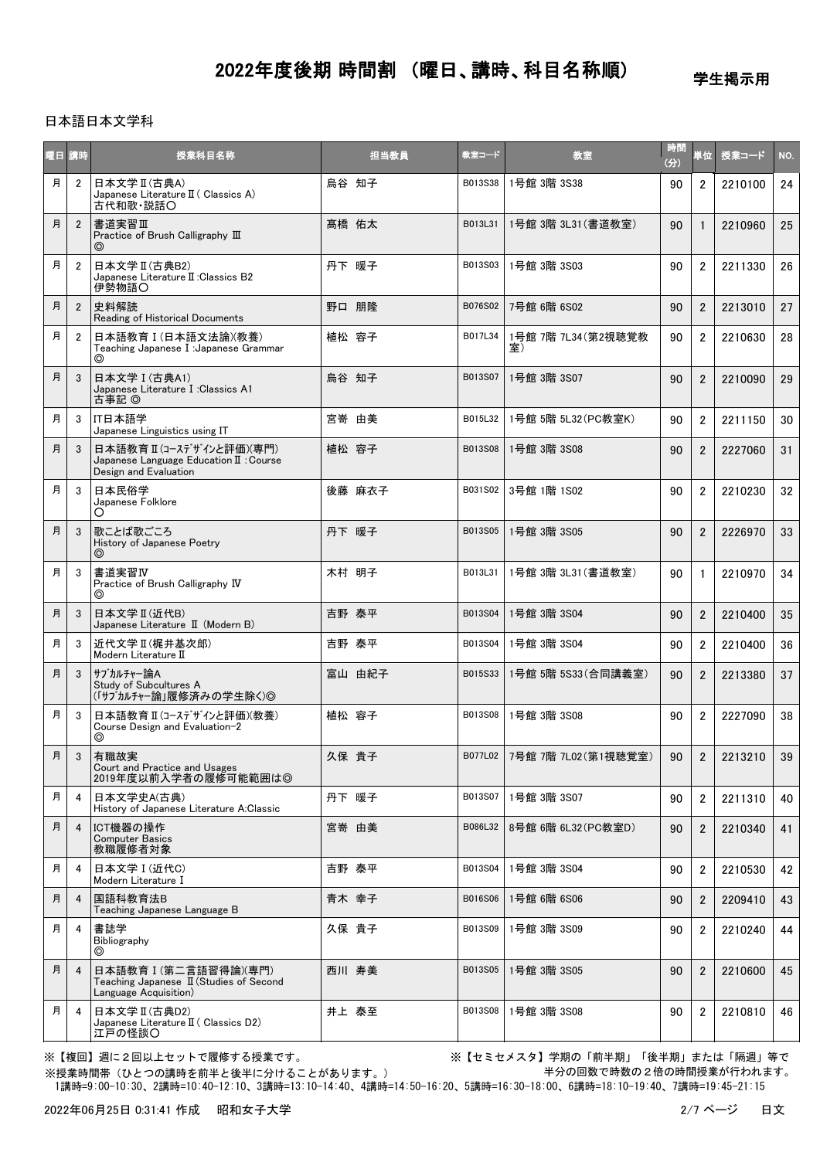学生掲示用

### 日本語日本文学科

| 曜日 | 講時             | 授業科目名称                                                                                              |       | 担当教員   | 教室コード   | 教室                           | 時間<br>(分) | 単位             | 授業コード   | NO.             |
|----|----------------|-----------------------------------------------------------------------------------------------------|-------|--------|---------|------------------------------|-----------|----------------|---------|-----------------|
| 月  | $\overline{2}$ | 日本文学 II (古典A)<br>Japanese Literature II ( Classics A)<br>古代和歌·説話〇                                   | 烏谷 知子 |        | B013S38 | 1号館 3階 3S38                  | 90        | $\overline{2}$ | 2210100 | 24              |
| 月  | $\overline{2}$ | 書道実習Ⅲ<br>Practice of Brush Calligraphy III<br>⊚                                                     | 髙橋 佑太 |        | B013L31 | 1号館 3階 3L31 (書道教室)           | 90        | $\mathbf{1}$   | 2210960 | 25              |
| 月  | $\overline{2}$ | 日本文学 II (古典B2)<br>Japanese Literature II: Classics B2<br>伊勢物語〇                                      | 丹下 暖子 |        | B013S03 | 1号館 3階 3S03                  | 90        | $\overline{2}$ | 2211330 | 26              |
| 月  | $\overline{2}$ | 史料解読<br>Reading of Historical Documents                                                             | 野口 朋隆 |        | B076S02 | 7号館 6階 6S02                  | 90        | $\overline{2}$ | 2213010 | 27              |
| 月  | $\overline{2}$ | 日本語教育 I (日本語文法論)(教養)<br>Teaching Japanese I : Japanese Grammar<br>◎                                 | 植松 容子 |        | B017L34 | 1号館 7階 7L34 (第2視聴覚教          | 90        | $\overline{2}$ | 2210630 | 28              |
| 月  | 3              | 日本文学 I (古典A1)<br>Japanese Literature I : Classics A1<br>古事記 ◎                                       | 烏谷 知子 |        | B013S07 | 1号館 3階 3S07                  | 90        | $\overline{2}$ | 2210090 | 29              |
| 月  | 3              | IT日本語学<br>Japanese Linguistics using IT                                                             | 宮嵜 由美 |        | B015L32 | 1号館 5階 5L32 (PC教室K)          | 90        | $\overline{2}$ | 2211150 | 30              |
| 月  | 3              | 日本語教育Ⅱ(コースデザインと評価)(専門)<br>Japanese Language Education $\mathbb I$ : Course<br>Design and Evaluation | 植松 容子 |        | B013S08 | 1号館 3階 3S08                  | 90        | $\overline{2}$ | 2227060 | 31              |
| 月  | 3              | 日本民俗学<br>Japanese Folklore<br>O                                                                     |       | 後藤 麻衣子 | B031S02 | 3号館 1階 1S02                  | 90        | $\overline{2}$ | 2210230 | 32              |
| 月  | 3              | 歌ことば歌ごころ<br>History of Japanese Poetry<br>$\circledcirc$                                            | 丹下 暖子 |        | B013S05 | 1号館 3階 3S05                  | 90        | $\overline{2}$ | 2226970 | 33              |
| 月  | 3              | 書道実習Ⅳ<br>Practice of Brush Calligraphy IV                                                           | 木村 明子 |        | B013L31 | 1号館 3階 3L31 (書道教室)           | 90        | $\mathbf{1}$   | 2210970 | 34              |
| 月  | 3              | 日本文学 II (近代B)<br>Japanese Literature II (Modern B)                                                  | 吉野 泰平 |        | B013S04 | 1号館 3階 3S04                  | 90        | $\overline{2}$ | 2210400 | 35 <sub>2</sub> |
| 月  | 3              | 近代文学Ⅱ(梶井基次郎)<br>Modern Literature II                                                                | 吉野 泰平 |        | B013S04 | 1号館 3階 3S04                  | 90        | $\overline{2}$ | 2210400 | 36              |
| 月  | 3              | サブカルチャー論A<br>Study of Subcultures A<br>(「サブカルチャー論」履修済みの学生除く)◎                                       |       | 富山 由紀子 | B015S33 | 1号館 5階 5S33 (合同講義室)          | 90        | $\overline{2}$ | 2213380 | 37              |
| 月  | 3              | 日本語教育 II(コースデザインと評価)(教養)<br>Course Design and Evaluation-2<br>⊚                                     | 植松 容子 |        | B013S08 | 1号館 3階 3S08                  | 90        | $\overline{2}$ | 2227090 | 38              |
| 月  | $\mathbf{3}$   | 有職故実<br>Court and Practice and Usages<br>2019年度以前入学者の履修可能範囲は◎                                       | 久保 貴子 |        |         | B077L02 7号館 7階 7L02 (第1視聴覚室) | $90-1$    | $\overline{2}$ | 2213210 | 39              |
| 月  | 4              | 日本文学史A(古典)<br>History of Japanese Literature A:Classic                                              | 丹下 暖子 |        | B013S07 | 1号館 3階 3S07                  | 90        | $\overline{2}$ | 2211310 | 40              |
| 月  | $\overline{4}$ | ICT機器の操作<br><b>Computer Basics</b><br>教職履修者対象                                                       | 宮嵜 由美 |        | B086L32 | 8号館 6階 6L32 (PC教室D)          | 90        | $\overline{2}$ | 2210340 | 41              |
| 月  | 4              | 日本文学 I (近代C)<br>Modern Literature I                                                                 | 吉野 泰平 |        | B013S04 | 1号館 3階 3S04                  | 90        | $\overline{2}$ | 2210530 | 42              |
| 月  | $\overline{4}$ | 国語科教育法B<br>Teaching Japanese Language B                                                             | 青木 幸子 |        | B016S06 | 1号館 6階 6S06                  | 90        | $\overline{2}$ | 2209410 | 43              |
| 月  | 4              | 書誌学<br><b>Bibliography</b><br>◎                                                                     | 久保 貴子 |        | B013S09 | 1号館 3階 3S09                  | 90        | 2              | 2210240 | 44              |
| 月  | $\overline{4}$ | 日本語教育 I (第二言語習得論)(専門)<br>Teaching Japanese II (Studies of Second<br>Language Acquisition)           | 西川 寿美 |        | B013S05 | 1号館 3階 3S05                  | 90        | $\overline{2}$ | 2210600 | 45              |
| 月  | 4              | 日本文学 II (古典D2)<br>Japanese Literature $\mathbb{I}$ (Classics D2)<br>江戸の怪談〇                          | 井上 泰至 |        | B013S08 | 1号館 3階 3S08                  | 90        | $\overline{2}$ | 2210810 | 46              |

※【複回】週に2回以上セットで履修する授業です。 ※【セミセメスタ】学期の「前半期」「後半期」または「隔週」等で 半分の回数で時数の2倍の時間授業が行われます。

 1講時=9:00-10:30、2講時=10:40-12:10、3講時=13:10-14:40、4講時=14:50-16:20、5講時=16:30-18:00、6講時=18:10-19:40、7講時=19:45-21:15 ※授業時間帯(ひとつの講時を前半と後半に分けることがあります。)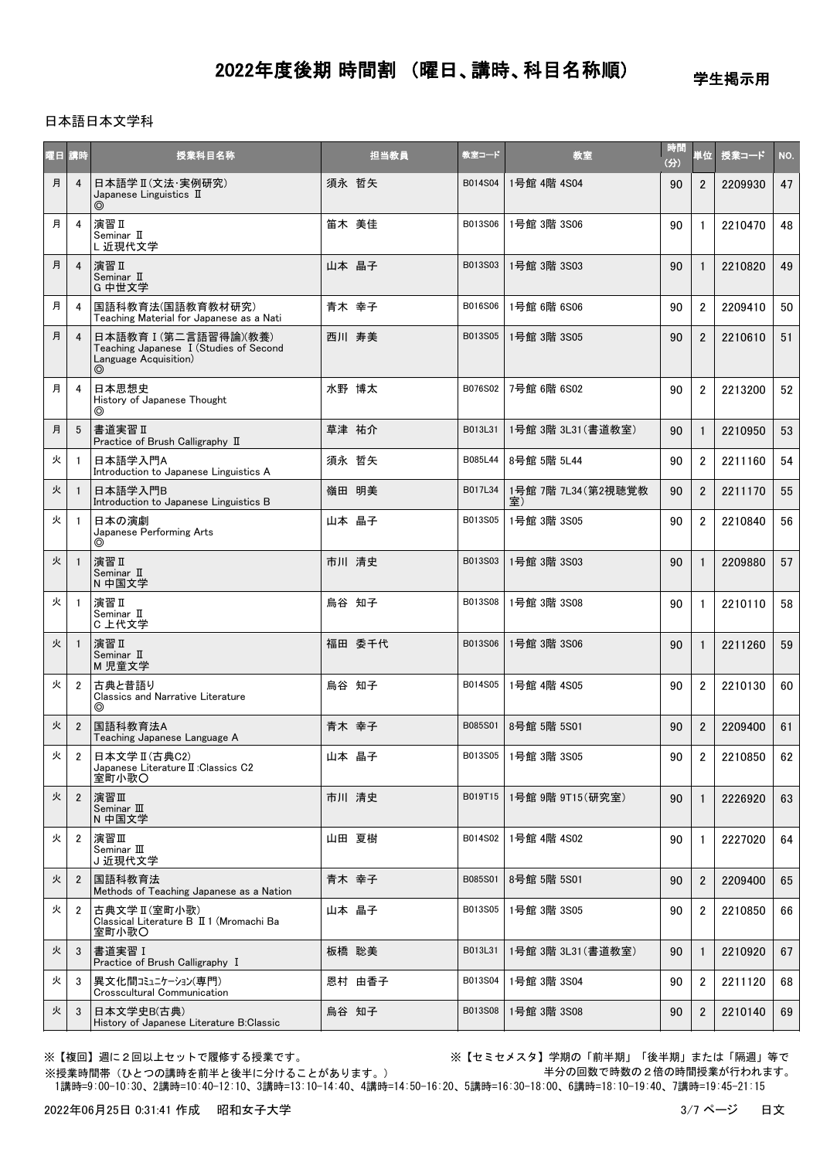学生掲示用

### 日本語日本文学科

| 西日 | 請時             | 授業科目名称                                                                                        | 担当教員   | 教室コード   | 教室                        | 時間<br>(分) | 首位             | 授業コード   | NO. |
|----|----------------|-----------------------------------------------------------------------------------------------|--------|---------|---------------------------|-----------|----------------|---------|-----|
| 月  | $\overline{4}$ | 日本語学 II (文法·実例研究)<br>Japanese Linguistics $\mathbb I$                                         | 須永 哲矢  | B014S04 | 1号館 4階 4S04               | 90        | $\overline{2}$ | 2209930 | 47  |
| 月  | 4              | 演習 II<br>Seminar II<br>L 近現代文学                                                                | 笛木 美佳  | B013S06 | 1号館 3階 3S06               | 90        | $\mathbf{1}$   | 2210470 | 48  |
| 月  | $\overline{4}$ | 演習Ⅱ<br>Seminar II<br>G 中世文学                                                                   | 山本 晶子  | B013S03 | 1号館 3階 3S03               | 90        | $\mathbf{1}$   | 2210820 | 49  |
| 月  | 4              | 国語科教育法(国語教育教材研究)<br>Teaching Material for Japanese as a Nati                                  | 青木 幸子  | B016S06 | 1号館 6階 6S06               | 90        | 2              | 2209410 | 50  |
| 月  | $\overline{4}$ | 日本語教育 I (第二言語習得論)(教養)<br>Teaching Japanese I (Studies of Second<br>Language Acquisition)<br>⊚ | 西川 寿美  | B013S05 | 1号館 3階 3S05               | 90        | $\overline{2}$ | 2210610 | 51  |
| 月  | 4              | 日本思想史<br>History of Japanese Thought<br>⊚                                                     | 水野 博太  | B076S02 | 7号館 6階 6S02               | 90        | $\overline{2}$ | 2213200 | 52  |
| 月  | 5              | 書道実習Ⅱ<br>Practice of Brush Calligraphy II                                                     | 草津 祐介  | B013L31 | 1号館 3階 3L31 (書道教室)        | 90        | $\mathbf{1}$   | 2210950 | 53  |
| 火  | $\overline{1}$ | 日本語学入門A<br>Introduction to Japanese Linguistics A                                             | 須永 哲矢  | B085L44 | 8号館 5階 5L44               | 90        | $\overline{2}$ | 2211160 | 54  |
| 火  |                | 日本語学入門B<br>Introduction to Japanese Linguistics B                                             | 嶺田 明美  | B017L34 | 1号館 7階 7L34 (第2視聴覚教<br>室) | 90        | $\overline{2}$ | 2211170 | 55  |
| 火  |                | 日本の演劇<br>Japanese Performing Arts<br>⊚                                                        | 山本 晶子  | B013S05 | 1号館 3階 3S05               | 90        | $\overline{2}$ | 2210840 | 56  |
| 火  | $\overline{1}$ | 演習 II<br>Seminar II<br>N 中国文学                                                                 | 市川 清史  | B013S03 | 1号館 3階 3S03               | 90        | $\mathbf{1}$   | 2209880 | 57  |
| 火  | $\overline{1}$ | 演習 II<br>Seminar II<br>C 上代文学                                                                 | 烏谷 知子  | B013S08 | 1号館 3階 3S08               | 90        | $\mathbf{1}$   | 2210110 | 58  |
| 火  | $\overline{1}$ | 演習 II<br>Seminar II<br>M児童文学                                                                  | 福田 委千代 | B013S06 | 1号館 3階 3S06               | 90        | $\mathbf{1}$   | 2211260 | 59  |
| 火  | $\overline{2}$ | 古典と昔語り<br><b>Classics and Narrative Literature</b><br>⊚                                       | 烏谷 知子  | B014S05 | 1号館 4階 4S05               | 90        | 2              | 2210130 | 60  |
| 火  | $\overline{2}$ | 国語科教育法A<br>Teaching Japanese Language A                                                       | 青木 幸子  | B085S01 | 8号館 5階 5S01               | 90        | $\overline{2}$ | 2209400 | 61  |
| 火  | $\overline{2}$ | 日本文学 II (古典C2)<br>Japanese Literature II: Classics C2<br>室町小歌〇                                | 山本 晶子  |         | B013S05 1号館 3階 3S05       | 90        | $\overline{2}$ | 2210850 | 62  |
| 火  | $\overline{2}$ | 演習Ⅲ<br>Seminar III<br>N 中国文学                                                                  | 市川 清史  | B019T15 | 1号館 9階 9T15 (研究室)         | 90        | $\mathbf{1}$   | 2226920 | 63  |
| 火  | $\overline{2}$ | 演習Ⅲ<br>Seminar $\rm I\!I\!I$<br>J 近現代文学                                                       | 山田 夏樹  | B014S02 | 1号館 4階 4S02               | 90        | 1              | 2227020 | 64  |
| 火  | $\overline{2}$ | 国語科教育法<br>Methods of Teaching Japanese as a Nation                                            | 青木 幸子  | B085S01 | 8号館 5階 5S01               | 90        | $\overline{2}$ | 2209400 | 65  |
| 火  | $\overline{2}$ | 古典文学Ⅱ(室町小歌)<br>Classical Literature B II 1 (Mromachi Ba<br>室町小歌〇                              | 山本 晶子  | B013S05 | 1号館 3階 3S05               | 90        | 2              | 2210850 | 66  |
| 火  | 3              | 書道実習 I<br>Practice of Brush Calligraphy I                                                     | 板橋 聡美  | B013L31 | 1号館 3階 3L31 (書道教室)        | 90        | $\mathbf{1}$   | 2210920 | 67  |
| 火  | 3              | 異文化間コミュニケーション(専門)<br>Crosscultural Communication                                              | 恩村 由香子 | B013S04 | 1号館 3階 3S04               | 90        | $\overline{2}$ | 2211120 | 68  |
| 火  | 3              | 日本文学史B(古典)<br>History of Japanese Literature B:Classic                                        | 烏谷 知子  | B013S08 | 1号館 3階 3S08               | 90        | $\overline{2}$ | 2210140 | 69  |

※授業時間帯(ひとつの講時を前半と後半に分けることがあります。)

※【複回】週に2回以上セットで履修する授業です。 ※【セミセメスタ】学期の「前半期」「後半期」または「隔週」等で 半分の回数で時数の2倍の時間授業が行われます。

1講時=9:00-10:30、2講時=10:40-12:10、3講時=13:10-14:40、4講時=14:50-16:20、5講時=16:30-18:00、6講時=18:10-19:40、7講時=19:45-21:15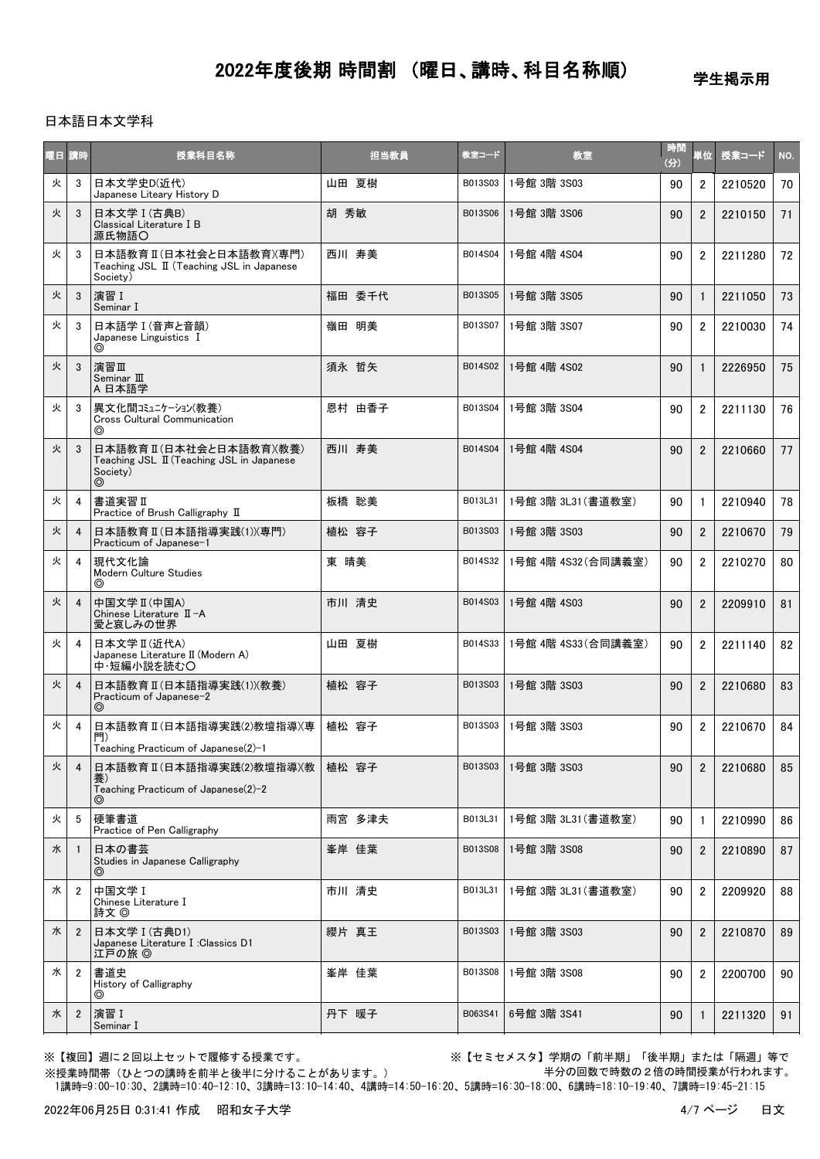学生掲示用

### 日本語日本文学科

| 曜日 講時 |                | 授業科目名称                                                                               | 担当教員   | 教室コード   | 教室                  | 時間<br>(分) | 単位             | 授業コード   | NO. |
|-------|----------------|--------------------------------------------------------------------------------------|--------|---------|---------------------|-----------|----------------|---------|-----|
| 火     | 3              | 日本文学史D(近代)<br>Japanese Liteary History D                                             | 山田 夏樹  | B013S03 | 1号館 3階 3S03         | 90        | $\overline{2}$ | 2210520 | 70  |
| 火     | 3              | 日本文学 I (古典B)<br>Classical Literature I B<br>源氏物語〇                                    | 胡 秀敏   | B013S06 | 1号館 3階 3S06         | 90        | $\overline{2}$ | 2210150 | 71  |
| 火     | 3              | 日本語教育 II (日本社会と日本語教育)(専門)<br>Teaching JSL II (Teaching JSL in Japanese<br>Society)   | 西川 寿美  | B014S04 | 1号館 4階 4S04         | 90        | $\overline{2}$ | 2211280 | 72  |
| 火     | 3              | 演習 I<br>Seminar I                                                                    | 福田 委千代 | B013S05 | 1号館 3階 3S05         | 90        | $\mathbf{1}$   | 2211050 | 73  |
| 火     | 3              | 日本語学 I (音声と音韻)<br>Japanese Linguistics I<br>⊚                                        | 嶺田 明美  | B013S07 | 1号館 3階 3S07         | 90        | $\overline{2}$ | 2210030 | 74  |
| 火     | 3              | 演習Ⅲ<br>Seminar III<br>A 日本語学                                                         | 須永 哲矢  | B014S02 | 1号館 4階 4S02         | 90        | $\mathbf{1}$   | 2226950 | 75  |
| 火     | 3              | 異文化間コミュニケーション(教養)<br><b>Cross Cultural Communication</b><br>⊚                        | 恩村 由香子 | B013S04 | 1号館 3階 3S04         | 90        | $\overline{2}$ | 2211130 | 76  |
| 火     | 3              | 日本語教育Ⅱ(日本社会と日本語教育)(教養)<br>Teaching JSL II (Teaching JSL in Japanese<br>Society)<br>⊚ | 西川 寿美  | B014S04 | 1号館 4階 4S04         | 90        | $\overline{2}$ | 2210660 | 77  |
| 火     | 4              | 書道実習 II<br>Practice of Brush Calligraphy II                                          | 板橋 聡美  | B013L31 | 1号館 3階 3L31 (書道教室)  | 90        | $\mathbf{1}$   | 2210940 | 78  |
| 火     | 4              | 日本語教育 II (日本語指導実践(1))(専門)<br>Practicum of Japanese-1                                 | 植松 容子  | B013S03 | 1号館 3階 3S03         | 90        | $\overline{2}$ | 2210670 | 79  |
| 火     | 4              | 現代文化論<br>Modern Culture Studies<br>◎                                                 | 東 晴美   | B014S32 | 1号館 4階 4S32(合同講義室)  | 90        | $\overline{2}$ | 2210270 | 80  |
| 火     | $\overline{4}$ | 中国文学 II (中国A)<br>Chinese Literature II-A<br>愛と哀しみの世界                                 | 市川 清史  | B014S03 | 1号館 4階 4S03         | 90        | $\overline{2}$ | 2209910 | 81  |
| 火     | 4              | 日本文学 II (近代A)<br>Japanese Literature II (Modern A)<br>中・短編小説を読む〇                     | 山田 夏樹  | B014S33 | 1号館 4階 4S33 (合同講義室) | 90        | $\overline{2}$ | 2211140 | 82  |
| 火     | $\overline{4}$ | 日本語教育Ⅱ(日本語指導実践⑴)(教養)<br>Practicum of Japanese-2<br>⊚                                 | 植松 容子  | B013S03 | 1号館 3階 3S03         | 90        | $\overline{2}$ | 2210680 | 83  |
| 火     | 4              | 日本語教育 II(日本語指導実践(2)教壇指導)(専<br>門)<br>Teaching Practicum of Japanese(2)-1              | 植松 容子  | B013S03 | 1号館 3階 3S03         | 90        | $\overline{2}$ | 2210670 | 84  |
| 火     | -4             | 日本語教育Ⅱ(日本語指導実践⑵教壇指導)(教<br>養)<br>Teaching Practicum of Japanese(2)-2                  | 植松 容子  | B013S03 | 1号館 3階 3S03         | 90        | $\overline{2}$ | 2210680 | 85  |
| 火     | 5              | 硬筆書道<br>Practice of Pen Calligraphy                                                  | 雨宮 多津夫 | B013L31 | 1号館 3階 3L31 (書道教室)  | 90        | $\mathbf{1}$   | 2210990 | 86  |
| 水     | $\overline{1}$ | 日本の書芸<br>Studies in Japanese Calligraphy<br>$\circledcirc$                           | 峯岸 佳葉  | B013S08 | 1号館 3階 3S08         | 90        | $\overline{2}$ | 2210890 | 87  |
| 水     | $\overline{2}$ | 中国文学 I<br>Chinese Literature I<br>詩文 ◎                                               | 市川 清史  | B013L31 | 1号館 3階 3L31 (書道教室)  | 90        | $\overline{2}$ | 2209920 | 88  |
| 水     | $\overline{2}$ | 日本文学 I (古典D1)<br>Japanese Literature I :Classics D1<br>江戸の旅 ◎                        | 纓片 真王  | B013S03 | 1号館 3階 3S03         | 90        | $\overline{2}$ | 2210870 | 89  |
| 水     | $\overline{2}$ | 書道史<br>History of Calligraphy<br>◎                                                   | 峯岸 佳葉  | B013S08 | 1号館 3階 3S08         | 90        | $\overline{2}$ | 2200700 | 90  |
| 水     | $\overline{2}$ | 演習 I<br>Seminar I                                                                    | 丹下 暖子  | B063S41 | 6号館 3階 3S41         | 90        | $\mathbf{1}$   | 2211320 | 91  |

※授業時間帯(ひとつの講時を前半と後半に分けることがあります。)

※【複回】週に2回以上セットで履修する授業です。 ※【セミセメスタ】学期の「前半期」「後半期」または「隔週」等で 半分の回数で時数の2倍の時間授業が行われます。

1講時=9:00-10:30、2講時=10:40-12:10、3講時=13:10-14:40、4講時=14:50-16:20、5講時=16:30-18:00、6講時=18:10-19:40、7講時=19:45-21:15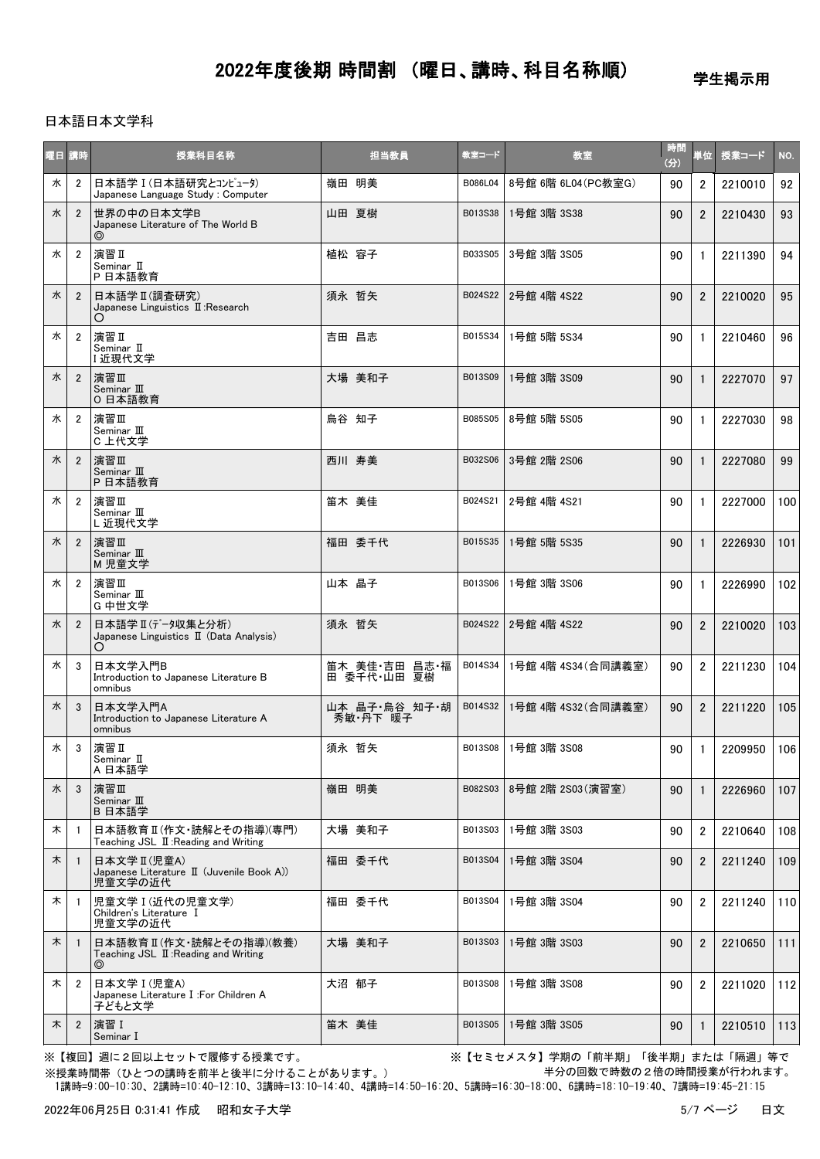学生掲示用

### 日本語日本文学科

| 陸日 | 請時             | 授業科目名称                                                                           | 担当教員                         | 教室コード   | 教室                  | 時間<br>(分) | 単位             | 授業コード   | NO. |
|----|----------------|----------------------------------------------------------------------------------|------------------------------|---------|---------------------|-----------|----------------|---------|-----|
| 水  | $\overline{2}$ | 日本語学 I (日本語研究とコンピュータ)<br>Japanese Language Study: Computer                       | 嶺田 明美                        | B086L04 | 8号館 6階 6L04 (PC教室G) | 90        | $\overline{2}$ | 2210010 | 92  |
| 水  | $\overline{2}$ | 世界の中の日本文学B<br>Japanese Literature of The World B<br>⊚                            | 山田 夏樹                        | B013S38 | 1号館 3階 3S38         | 90        | $\overline{2}$ | 2210430 | 93  |
| 水  | $\overline{2}$ | 演習 II<br>Seminar II<br>P 日本語教育                                                   | 植松 容子                        | B033S05 | 3号館 3階 3S05         | 90        | $\mathbf{1}$   | 2211390 | 94  |
| 水  | $\overline{2}$ | 日本語学 II (調査研究)<br>Japanese Linguistics II: Research<br>O                         | 須永 哲矢                        | B024S22 | 2号館 4階 4S22         | 90        | $\overline{2}$ | 2210020 | 95  |
| 水  | $\overline{2}$ | 演習 II<br>Seminar II<br>I近現代文学                                                    | 吉田 昌志                        | B015S34 | 1号館 5階 5S34         | 90        | $\mathbf{1}$   | 2210460 | 96  |
| 水  | $\overline{2}$ | 演習Ⅲ<br>Seminar $\mathbb I\mathbb I$<br>0 日本語教育                                   | 大場 美和子                       | B013S09 | 1号館 3階 3S09         | 90        | $\mathbf{1}$   | 2227070 | 97  |
| 水  | $\overline{2}$ | 演習Ⅲ<br>Seminar III<br>C 上代文学                                                     | 烏谷 知子                        | B085S05 | 8号館 5階 5S05         | 90        | $\mathbf{1}$   | 2227030 | 98  |
| 水  | $\overline{2}$ | 演習Ⅲ<br>Seminar $\mathbb I$<br>P 日本語教育                                            | 西川 寿美                        | B032S06 | 3号館 2階 2S06         | 90        | $\mathbf{1}$   | 2227080 | 99  |
| 水  | $\overline{2}$ | 演習Ⅲ<br>Seminar III<br>L近現代文学                                                     | 笛木 美佳                        | B024S21 | 2号館 4階 4S21         | 90        | $\mathbf{1}$   | 2227000 | 100 |
| 水  | $\overline{2}$ | 演習Ⅲ<br>Seminar III<br>M児童文学                                                      | 福田 委千代                       | B015S35 | 1号館 5階 5S35         | 90        | $\mathbf{1}$   | 2226930 | 101 |
| 水  | $\overline{2}$ | 演習Ⅲ<br>Seminar $\rm I\!I\!I$<br>G 中世文学                                           | 山本 晶子                        | B013S06 | 1号館 3階 3S06         | 90        | $\mathbf{1}$   | 2226990 | 102 |
| 水  | $\overline{2}$ | 日本語学 II (テンル集と分析)<br>Japanese Linguistics II (Data Analysis)<br>O                | 須永 哲矢                        | B024S22 | 2号館 4階 4S22         | 90        | $\overline{2}$ | 2210020 | 103 |
| 水  | 3              | 日本文学入門B<br>Introduction to Japanese Literature B<br>omnibus                      | 笛木 美佳·吉田 昌志·福<br>田 委千代·山田 夏樹 | B014S34 | 1号館 4階 4S34 (合同講義室) | 90        | $\overline{2}$ | 2211230 | 104 |
| 水  | 3              | 日本文学入門A<br>Introduction to Japanese Literature A<br>omnibus                      | 山本 晶子・烏谷 知子・胡<br>秀敏・丹下 暖子    | B014S32 | 1号館 4階 4S32(合同講義室)  | 90        | $\overline{2}$ | 2211220 | 105 |
| 水  | 3              | 演習Ⅱ<br>Seminar II<br>A 日本語学                                                      | 須永 哲矢                        | B013S08 | 1号館 3階 3S08         | 90        | 1              | 2209950 | 106 |
| 水  | 3              | 演習Ⅲ<br>Seminar $\mathbb I\hspace{-0.1cm}I$<br>B 日本語学                             | 嶺田 明美                        | B082S03 | 8号館 2階 2S03(演習室)    | 90        | 1              | 2226960 | 107 |
| 木  | - 1            | 日本語教育Ⅱ(作文・読解とその指導)(専門)<br>Teaching JSL II: Reading and Writing                   | 大場 美和子                       | B013S03 | 1号館 3階 3S03         | 90        | $\overline{2}$ | 2210640 | 108 |
| 木  | $\overline{1}$ | 日本文学 II (児童A)<br>Japanese Literature II (Juvenile Book A))<br>児童文学の近代            | 福田 委千代                       | B013S04 | 1号館 3階 3S04         | 90        | $\overline{2}$ | 2211240 | 109 |
| 木  | - 1            | 児童文学 I (近代の児童文学)<br>Children's Literature I<br>児童文学の近代                           | 福田 委千代                       | B013S04 | 1号館 3階 3S04         | 90        | $\overline{2}$ | 2211240 | 110 |
| 木  | $\overline{1}$ | 日本語教育Ⅱ(作文・読解とその指導)(教養)<br>Teaching JSL II: Reading and Writing<br>$\circledcirc$ | 大場 美和子                       | B013S03 | 1号館 3階 3S03         | 90        | $\overline{2}$ | 2210650 | 111 |
| 木  | $\overline{2}$ | 日本文学 I (児童A)<br>Japanese Literature I :For Children A<br>子どもと文学                  | 大沼 郁子                        | B013S08 | 1号館 3階 3S08         | 90        | $\overline{2}$ | 2211020 | 112 |
| 木  | $\overline{2}$ | 演習 I<br>Seminar I                                                                | 笛木 美佳                        | B013S05 | 1号館 3階 3S05         | 90        | 1              | 2210510 | 113 |

※授業時間帯(ひとつの講時を前半と後半に分けることがあります。)

※【複回】週に2回以上セットで履修する授業です。 ※【セミセメスタ】学期の「前半期」「後半期」または「隔週」等で 半分の回数で時数の2倍の時間授業が行われます。

1講時=9:00-10:30、2講時=10:40-12:10、3講時=13:10-14:40、4講時=14:50-16:20、5講時=16:30-18:00、6講時=18:10-19:40、7講時=19:45-21:15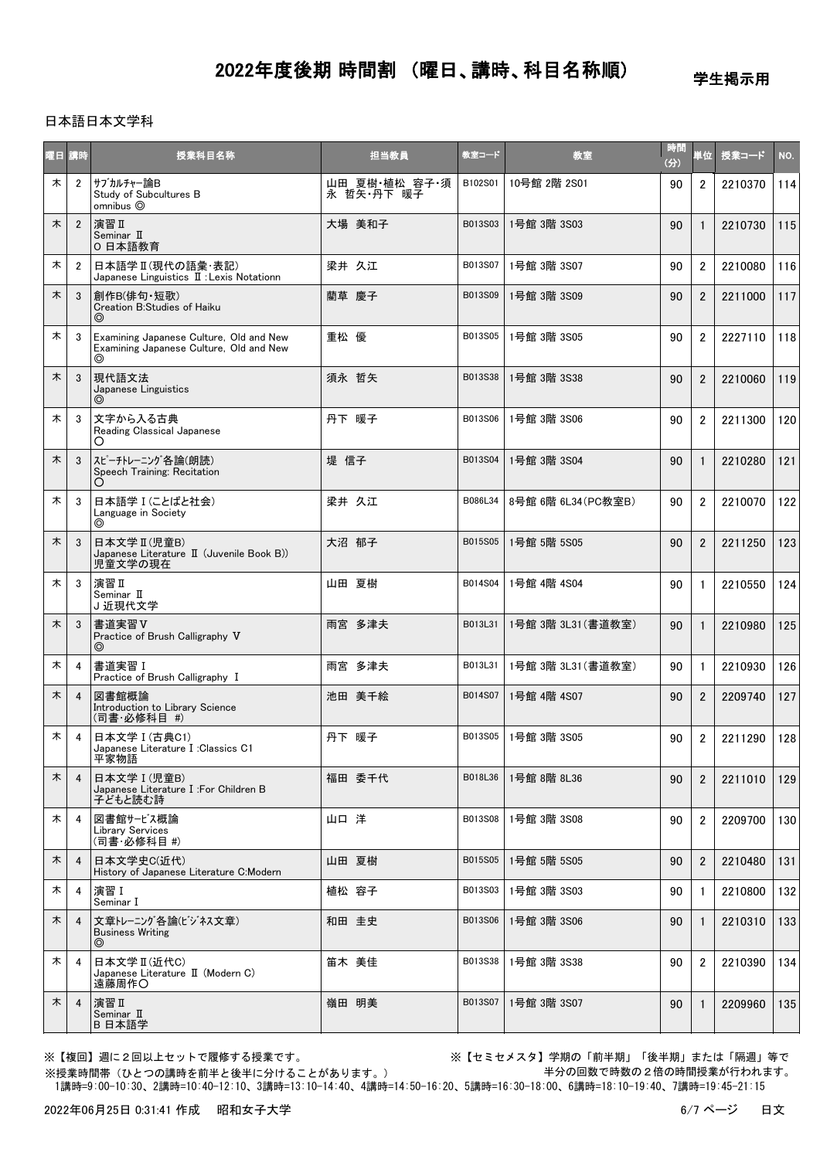学生掲示用

### 日本語日本文学科

| 曜日 | 講時             | 授業科目名称                                                                                  | 担当教員                        | 教室コード   | 教室                  | 時間<br>(分) | 単位             | 授業コード   | NO. |
|----|----------------|-----------------------------------------------------------------------------------------|-----------------------------|---------|---------------------|-----------|----------------|---------|-----|
| 木  | $\overline{2}$ | サブカルチャー論B<br>Study of Subcultures B<br>omnibus <sup>O</sup>                             | 山田 夏樹·植松 容子·須<br>永 哲矢·丹下 暖子 | B102S01 | 10号館 2階 2S01        | 90        | $\overline{2}$ | 2210370 | 114 |
| 木  | $\overline{2}$ | 演習Ⅱ<br>Seminar II<br>0 日本語教育                                                            | 大場 美和子                      | B013S03 | 1号館 3階 3S03         | 90        | $\mathbf{1}$   | 2210730 | 115 |
| 木  | $\overline{2}$ | 日本語学 II (現代の語彙・表記)<br>Japanese Linguistics II : Lexis Notationn                         | 梁井 久江                       | B013S07 | 1号館 3階 3S07         | 90        | $\overline{2}$ | 2210080 | 116 |
| 木  | 3              | 創作B(俳句・短歌)<br>Creation B:Studies of Haiku<br>⊚                                          | 藺草 慶子                       | B013S09 | 1号館 3階 3S09         | 90        | $\overline{2}$ | 2211000 | 117 |
| 木  | 3              | Examining Japanese Culture, Old and New<br>Examining Japanese Culture, Old and New<br>◎ | 重松 優                        | B013S05 | 1号館 3階 3S05         | 90        | $\overline{2}$ | 2227110 | 118 |
| 木  | 3              | 現代語文法<br>Japanese Linguistics<br>$\circledcirc$                                         | 須永 哲矢                       | B013S38 | 1号館 3階 3S38         | 90        | $\overline{2}$ | 2210060 | 119 |
| 木  | 3              | 文字から入る古典<br>Reading Classical Japanese<br>О                                             | 丹下 暖子                       | B013S06 | 1号館 3階 3S06         | 90        | $\overline{2}$ | 2211300 | 120 |
| 木  | 3              | スピーチトレーニング各論(朗読)<br>Speech Training: Recitation<br>O                                    | 堤 信子                        | B013S04 | 1号館 3階 3S04         | 90        | $\mathbf{1}$   | 2210280 | 121 |
| 木  | 3              | 日本語学 I (ことばと社会)<br>Language in Society<br>⊚                                             | 梁井 久江                       | B086L34 | 8号館 6階 6L34 (PC教室B) | 90        | $\overline{2}$ | 2210070 | 122 |
| 木  | 3              | 日本文学 II (児童B)<br>Japanese Literature II (Juvenile Book B))<br>児童文学の現在                   | 大沼 郁子                       | B015S05 | 1号館 5階 5S05         | 90        | $\overline{2}$ | 2211250 | 123 |
| 木  | 3              | 演習 II<br>Seminar II<br>J近現代文学                                                           | 山田 夏樹                       | B014S04 | 1号館 4階 4S04         | 90        | $\mathbf{1}$   | 2210550 | 124 |
| 木  | 3              | 書道実習V<br>Practice of Brush Calligraphy V<br>$\circledcirc$                              | 雨宮 多津夫                      | B013L31 | 1号館 3階 3L31 (書道教室)  | 90        | $\mathbf{1}$   | 2210980 | 125 |
| 木  | 4              | 書道実習I<br>Practice of Brush Calligraphy I                                                | 雨宮 多津夫                      | B013L31 | 1号館 3階 3L31 (書道教室)  | 90        | $\mathbf{1}$   | 2210930 | 126 |
| 木  | $\overline{4}$ | 図書館概論<br>Introduction to Library Science<br>(司書·必修科目 #)                                 | 池田 美千絵                      | B014S07 | 1号館 4階 4S07         | 90        | $\overline{2}$ | 2209740 | 127 |
| 木  | 4              | 日本文学 I (古典C1)<br>Japanese Literature I :Classics C1<br>平家物語                             | 丹下 暖子                       | B013S05 | 1号館 3階 3S05         | 90        | $\overline{2}$ | 2211290 | 128 |
| 木  | $\overline{4}$ | 日本文学 I (児章B)<br>Japanese Literature I :For Children B<br>子どもと読む詩                        | 福田 委千代                      | B018L36 | 1号館 8階 8L36         | 90        | $\overline{2}$ | 2211010 | 129 |
| 木  | 4              | 図書館サービス概論<br><b>Library Services</b><br>(司書·必修科目 #)                                     | 山口 洋                        | B013S08 | 1号館 3階 3S08         | 90        | $\overline{2}$ | 2209700 | 130 |
| 木  | $\overline{4}$ | 日本文学史C(近代)<br>History of Japanese Literature C:Modern                                   | 山田 夏樹                       | B015S05 | 1号館 5階 5S05         | 90        | $\overline{2}$ | 2210480 | 131 |
| 木  | 4              | 演習 I<br>Seminar I                                                                       | 植松 容子                       | B013S03 | 1号館 3階 3S03         | 90        | $\mathbf{1}$   | 2210800 | 132 |
| 木  | $\overline{4}$ | 文章トレーニング各論(ビジネス文章)<br><b>Business Writing</b><br>⊚                                      | 和田 圭史                       | B013S06 | 1号館 3階 3S06         | 90        | $\mathbf{1}$   | 2210310 | 133 |
| 木  | 4              | 日本文学Ⅱ(近代C)<br>Japanese Literature II (Modern C)<br>遠藤周作〇                                | 笛木 美佳                       | B013S38 | 1号館 3階 3S38         | 90        | $\overline{2}$ | 2210390 | 134 |
| 木  | 4              | 演習 II<br>Seminar II<br>B 日本語学                                                           | 嶺田 明美                       | B013S07 | 1号館 3階 3S07         | 90        | $\mathbf{1}$   | 2209960 | 135 |

※【複回】週に2回以上セットで履修する授業です。 ※【セミセメスタ】学期の「前半期」「後半期」または「隔週」等で 半分の回数で時数の2倍の時間授業が行われます。

 1講時=9:00-10:30、2講時=10:40-12:10、3講時=13:10-14:40、4講時=14:50-16:20、5講時=16:30-18:00、6講時=18:10-19:40、7講時=19:45-21:15 ※授業時間帯(ひとつの講時を前半と後半に分けることがあります。)

2022年06月25日 0:31:41 作成 昭和女子大学 6/7 ページ はっちょう あいしゃ おおし かんこう あいしゃ おおし ちょうかん 6/7 ページ は文